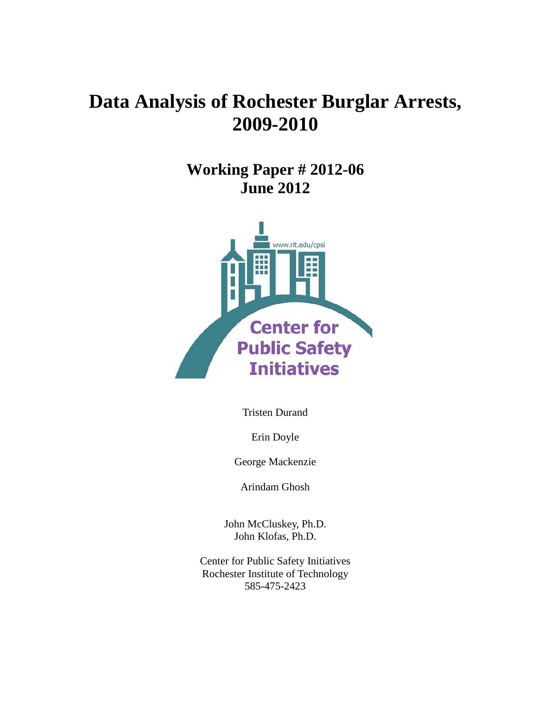# **Data Analysis of Rochester Burglar Arrests, 2009-2010**

**Working Paper # 2012-06 June 2012**



Tristen Durand

Erin Doyle

George Mackenzie

Arindam Ghosh

John McCluskey, Ph.D. John Klofas, Ph.D.

Center for Public Safety Initiatives Rochester Institute of Technology 585-475-2423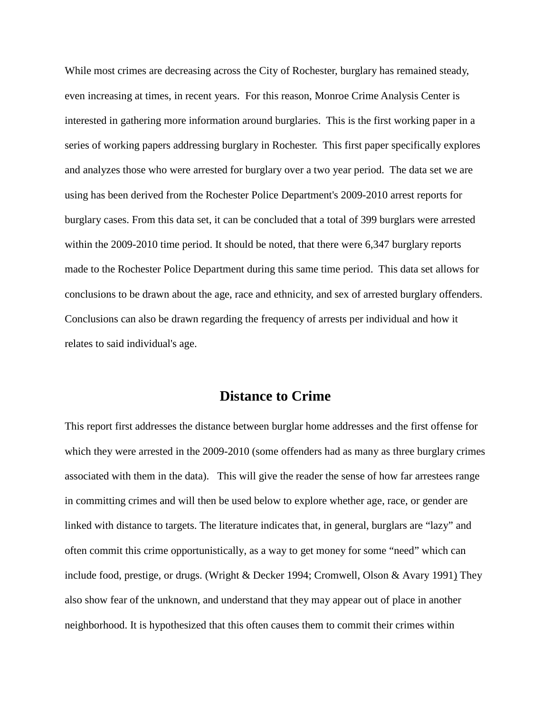While most crimes are decreasing across the City of Rochester, burglary has remained steady, even increasing at times, in recent years. For this reason, Monroe Crime Analysis Center is interested in gathering more information around burglaries. This is the first working paper in a series of working papers addressing burglary in Rochester. This first paper specifically explores and analyzes those who were arrested for burglary over a two year period. The data set we are using has been derived from the Rochester Police Department's 2009-2010 arrest reports for burglary cases. From this data set, it can be concluded that a total of 399 burglars were arrested within the 2009-2010 time period. It should be noted, that there were 6,347 burglary reports made to the Rochester Police Department during this same time period. This data set allows for conclusions to be drawn about the age, race and ethnicity, and sex of arrested burglary offenders. Conclusions can also be drawn regarding the frequency of arrests per individual and how it relates to said individual's age.

#### **Distance to Crime**

This report first addresses the distance between burglar home addresses and the first offense for which they were arrested in the 2009-2010 (some offenders had as many as three burglary crimes associated with them in the data). This will give the reader the sense of how far arrestees range in committing crimes and will then be used below to explore whether age, race, or gender are linked with distance to targets. The literature indicates that, in general, burglars are "lazy" and often commit this crime opportunistically, as a way to get money for some "need" which can include food, prestige, or drugs. (Wright & Decker 1994; Cromwell, Olson & Avary 1991) They also show fear of the unknown, and understand that they may appear out of place in another neighborhood. It is hypothesized that this often causes them to commit their crimes within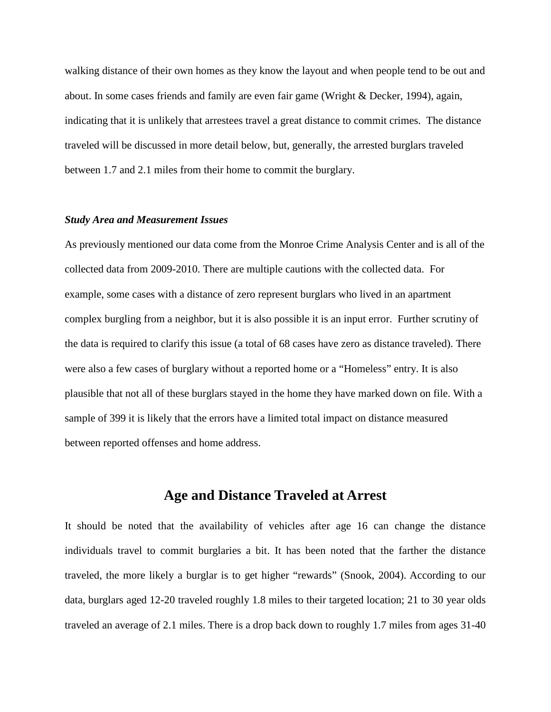walking distance of their own homes as they know the layout and when people tend to be out and about. In some cases friends and family are even fair game (Wright & Decker, 1994), again, indicating that it is unlikely that arrestees travel a great distance to commit crimes. The distance traveled will be discussed in more detail below, but, generally, the arrested burglars traveled between 1.7 and 2.1 miles from their home to commit the burglary.

#### *Study Area and Measurement Issues*

As previously mentioned our data come from the Monroe Crime Analysis Center and is all of the collected data from 2009-2010. There are multiple cautions with the collected data. For example, some cases with a distance of zero represent burglars who lived in an apartment complex burgling from a neighbor, but it is also possible it is an input error. Further scrutiny of the data is required to clarify this issue (a total of 68 cases have zero as distance traveled). There were also a few cases of burglary without a reported home or a "Homeless" entry. It is also plausible that not all of these burglars stayed in the home they have marked down on file. With a sample of 399 it is likely that the errors have a limited total impact on distance measured between reported offenses and home address.

#### **Age and Distance Traveled at Arrest**

It should be noted that the availability of vehicles after age 16 can change the distance individuals travel to commit burglaries a bit. It has been noted that the farther the distance traveled, the more likely a burglar is to get higher "rewards" (Snook, 2004). According to our data, burglars aged 12-20 traveled roughly 1.8 miles to their targeted location; 21 to 30 year olds traveled an average of 2.1 miles. There is a drop back down to roughly 1.7 miles from ages 31-40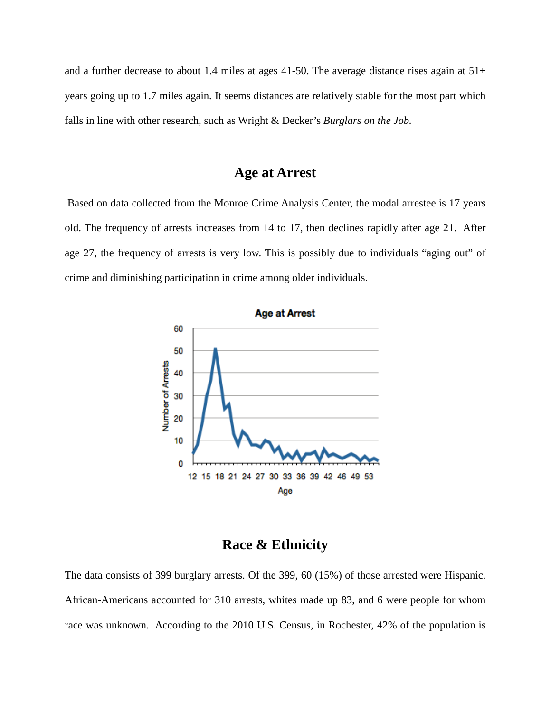and a further decrease to about 1.4 miles at ages 41-50. The average distance rises again at 51+ years going up to 1.7 miles again. It seems distances are relatively stable for the most part which falls in line with other research, such as Wright & Decker's *Burglars on the Job.*

### **Age at Arrest**

Based on data collected from the Monroe Crime Analysis Center, the modal arrestee is 17 years old. The frequency of arrests increases from 14 to 17, then declines rapidly after age 21. After age 27, the frequency of arrests is very low. This is possibly due to individuals "aging out" of crime and diminishing participation in crime among older individuals.



**Race & Ethnicity**

The data consists of 399 burglary arrests. Of the 399, 60 (15%) of those arrested were Hispanic. African-Americans accounted for 310 arrests, whites made up 83, and 6 were people for whom race was unknown. According to the 2010 U.S. Census, in Rochester, 42% of the population is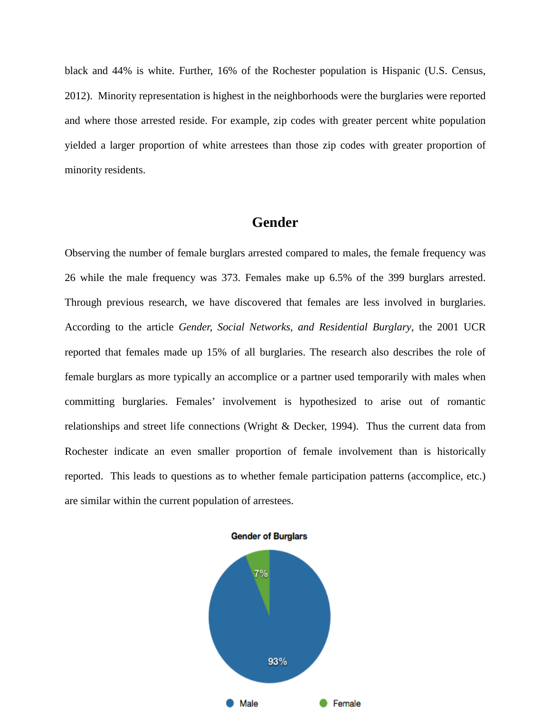black and 44% is white. Further, 16% of the Rochester population is Hispanic (U.S. Census, 2012). Minority representation is highest in the neighborhoods were the burglaries were reported and where those arrested reside. For example, zip codes with greater percent white population yielded a larger proportion of white arrestees than those zip codes with greater proportion of minority residents.

#### **Gender**

Observing the number of female burglars arrested compared to males, the female frequency was 26 while the male frequency was 373. Females make up 6.5% of the 399 burglars arrested. Through previous research, we have discovered that females are less involved in burglaries. According to the article *Gender, Social Networks, and Residential Burglary*, the 2001 UCR reported that females made up 15% of all burglaries. The research also describes the role of female burglars as more typically an accomplice or a partner used temporarily with males when committing burglaries. Females' involvement is hypothesized to arise out of romantic relationships and street life connections (Wright & Decker, 1994). Thus the current data from Rochester indicate an even smaller proportion of female involvement than is historically reported. This leads to questions as to whether female participation patterns (accomplice, etc.) are similar within the current population of arrestees.

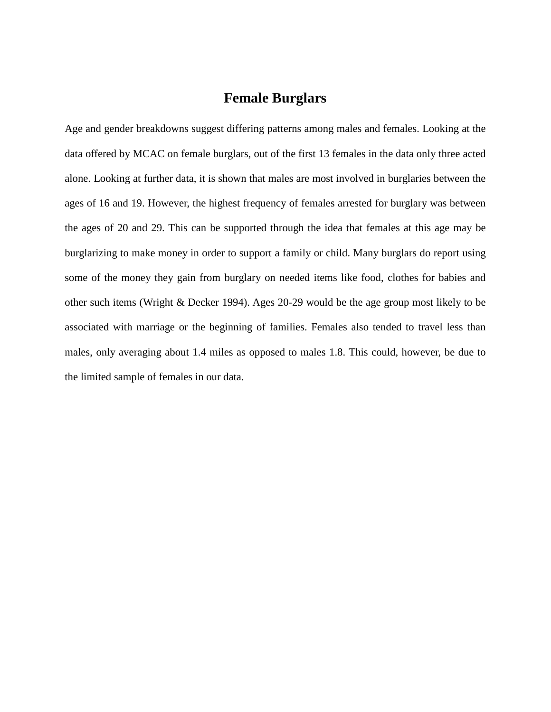## **Female Burglars**

Age and gender breakdowns suggest differing patterns among males and females. Looking at the data offered by MCAC on female burglars, out of the first 13 females in the data only three acted alone. Looking at further data, it is shown that males are most involved in burglaries between the ages of 16 and 19. However, the highest frequency of females arrested for burglary was between the ages of 20 and 29. This can be supported through the idea that females at this age may be burglarizing to make money in order to support a family or child. Many burglars do report using some of the money they gain from burglary on needed items like food, clothes for babies and other such items (Wright & Decker 1994). Ages 20-29 would be the age group most likely to be associated with marriage or the beginning of families. Females also tended to travel less than males, only averaging about 1.4 miles as opposed to males 1.8. This could, however, be due to the limited sample of females in our data.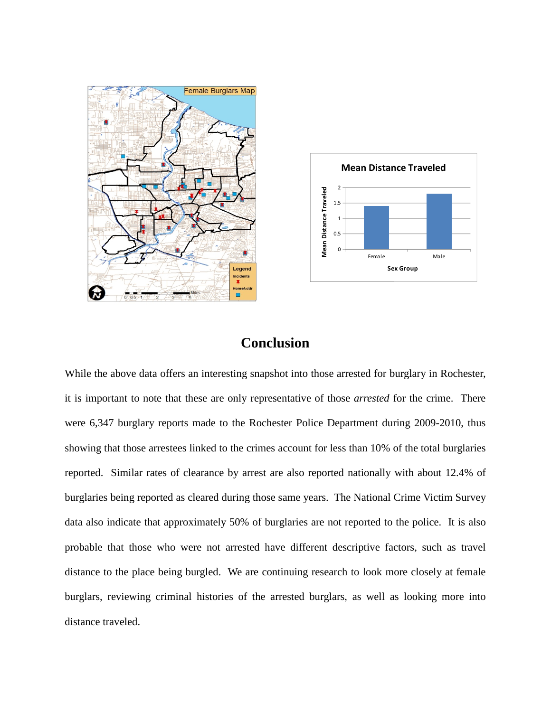



## **Conclusion**

While the above data offers an interesting snapshot into those arrested for burglary in Rochester, it is important to note that these are only representative of those *arrested* for the crime. There were 6,347 burglary reports made to the Rochester Police Department during 2009-2010, thus showing that those arrestees linked to the crimes account for less than 10% of the total burglaries reported. Similar rates of clearance by arrest are also reported nationally with about 12.4% of burglaries being reported as cleared during those same years. The National Crime Victim Survey data also indicate that approximately 50% of burglaries are not reported to the police. It is also probable that those who were not arrested have different descriptive factors, such as travel distance to the place being burgled. We are continuing research to look more closely at female burglars, reviewing criminal histories of the arrested burglars, as well as looking more into distance traveled.